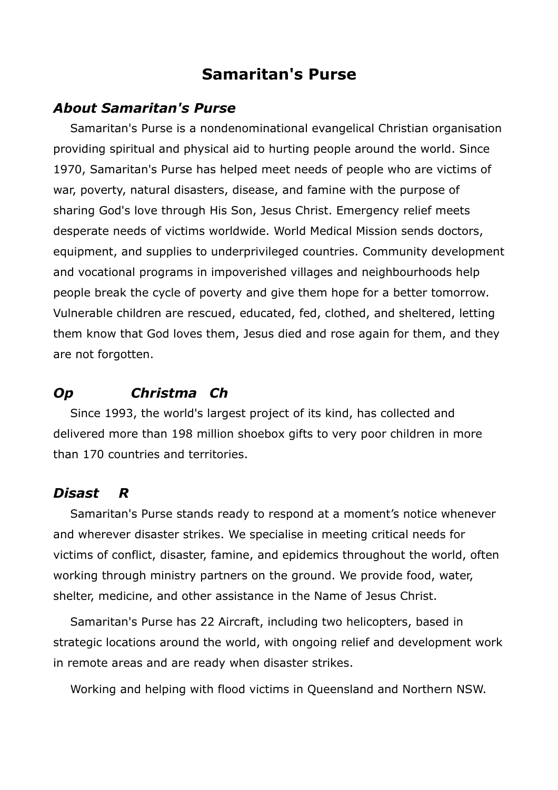## **Samaritan's Purse**

#### *About Samaritan's Purse*

Samaritan's Purse is a nondenominational evangelical Christian organisation providing spiritual and physical aid to hurting people around the world. Since 1970, Samaritan's Purse has helped meet needs of people who are victims of war, poverty, natural disasters, disease, and famine with the purpose of sharing God's love through His Son, Jesus Christ. Emergency relief meets desperate needs of victims worldwide. World Medical Mission sends doctors, equipment, and supplies to underprivileged countries. Community development and vocational programs in impoverished villages and neighbourhoods help people break the cycle of poverty and give them hope for a better tomorrow. Vulnerable children are rescued, educated, fed, clothed, and sheltered, letting them know that God loves them, Jesus died and rose again for them, and they are not forgotten.

### *Open Christma Chi ldd Chi ldd n Chi ldd n Chi ldd n Chi ldd n Chi ldd n Ch*

Since 1993, the world's largest project of its kind, has collected and delivered more than 198 million shoebox gifts to very poor children in more than 170 countries and territories.

#### *Disaste r Re lief*

Samaritan's Purse stands ready to respond at a moment's notice whenever and wherever disaster strikes. We specialise in meeting critical needs for victims of conflict, disaster, famine, and epidemics throughout the world, often working through ministry partners on the ground. We provide food, water, shelter, medicine, and other assistance in the Name of Jesus Christ.

Samaritan's Purse has 22 Aircraft, including two helicopters, based in strategic locations around the world, with ongoing relief and development work in remote areas and are ready when disaster strikes.

Working and helping with flood victims in Queensland and Northern NSW.